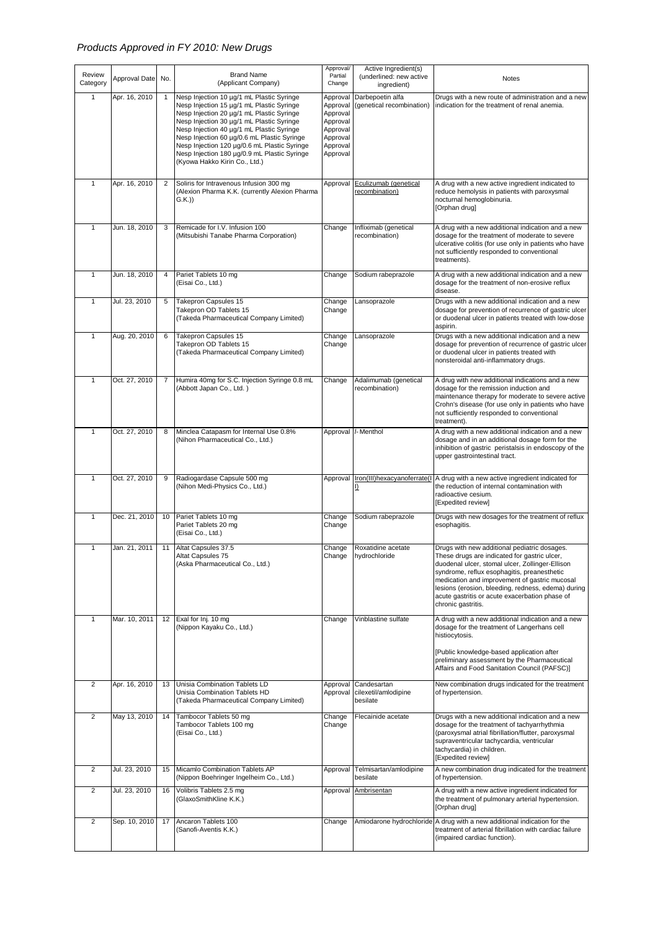## *Products Approved in FY 2010: New Drugs*

|                    |               |     |                                                                                                                                                                                                                                                                                                                                                                                                               | Approval/                                                                                    | Active Ingredient(s)                            |                                                                                                                                                                                                                                                                                                                                                                               |
|--------------------|---------------|-----|---------------------------------------------------------------------------------------------------------------------------------------------------------------------------------------------------------------------------------------------------------------------------------------------------------------------------------------------------------------------------------------------------------------|----------------------------------------------------------------------------------------------|-------------------------------------------------|-------------------------------------------------------------------------------------------------------------------------------------------------------------------------------------------------------------------------------------------------------------------------------------------------------------------------------------------------------------------------------|
| Review<br>Category | Approval Date | No. | <b>Brand Name</b><br>(Applicant Company)                                                                                                                                                                                                                                                                                                                                                                      | Partial<br>Change                                                                            | (underlined: new active<br>ingredient)          | Notes                                                                                                                                                                                                                                                                                                                                                                         |
| $\mathbf{1}$       | Apr. 16, 2010 | 1   | Nesp Injection 10 µg/1 mL Plastic Syringe<br>Nesp Injection 15 µg/1 mL Plastic Syringe<br>Nesp Injection 20 µg/1 mL Plastic Syringe<br>Nesp Injection 30 µg/1 mL Plastic Syringe<br>Nesp Injection 40 µg/1 mL Plastic Syringe<br>Nesp Injection 60 µg/0.6 mL Plastic Syringe<br>Nesp Injection 120 µg/0.6 mL Plastic Syringe<br>Nesp Injection 180 µg/0.9 mL Plastic Syringe<br>(Kyowa Hakko Kirin Co., Ltd.) | Approval<br>Approval<br>Approval<br>Approval<br>Approval<br>Approval<br>Approval<br>Approval | Darbepoetin alfa<br>(genetical recombination)   | Drugs with a new route of administration and a new<br>indication for the treatment of renal anemia.                                                                                                                                                                                                                                                                           |
| 1                  | Apr. 16, 2010 | 2   | Soliris for Intravenous Infusion 300 mg<br>(Alexion Pharma K.K. (currently Alexion Pharma<br>$G.K.$ )                                                                                                                                                                                                                                                                                                         | Approval                                                                                     | Eculizumab (genetical<br>recombination)         | A drug with a new active ingredient indicated to<br>reduce hemolysis in patients with paroxysmal<br>nocturnal hemoglobinuria.<br>[Orphan drug]                                                                                                                                                                                                                                |
| $\mathbf{1}$       | Jun. 18, 2010 | 3   | Remicade for I.V. Infusion 100<br>(Mitsubishi Tanabe Pharma Corporation)                                                                                                                                                                                                                                                                                                                                      | Change                                                                                       | Infliximab (genetical<br>recombination)         | A drug with a new additional indication and a new<br>dosage for the treatment of moderate to severe<br>ulcerative colitis (for use only in patients who have<br>not sufficiently responded to conventional<br>treatments).                                                                                                                                                    |
| 1                  | Jun. 18, 2010 | 4   | Pariet Tablets 10 mg<br>(Eisai Co., Ltd.)                                                                                                                                                                                                                                                                                                                                                                     | Change                                                                                       | Sodium rabeprazole                              | A drug with a new additional indication and a new<br>dosage for the treatment of non-erosive reflux<br>disease.                                                                                                                                                                                                                                                               |
| 1                  | Jul. 23, 2010 | 5   | Takepron Capsules 15<br>Takepron OD Tablets 15<br>(Takeda Pharmaceutical Company Limited)                                                                                                                                                                                                                                                                                                                     | Change<br>Change                                                                             | Lansoprazole                                    | Drugs with a new additional indication and a new<br>dosage for prevention of recurrence of gastric ulcer<br>or duodenal ulcer in patients treated with low-dose<br>aspirin.                                                                                                                                                                                                   |
| $\mathbf{1}$       | Aug. 20, 2010 | 6   | Takepron Capsules 15<br>Takepron OD Tablets 15<br>(Takeda Pharmaceutical Company Limited)                                                                                                                                                                                                                                                                                                                     | Change<br>Change                                                                             | Lansoprazole                                    | Drugs with a new additional indication and a new<br>dosage for prevention of recurrence of gastric ulcer<br>or duodenal ulcer in patients treated with<br>nonsteroidal anti-inflammatory drugs.                                                                                                                                                                               |
| 1                  | Oct. 27, 2010 | 7   | Humira 40mg for S.C. Injection Syringe 0.8 mL<br>(Abbott Japan Co., Ltd.)                                                                                                                                                                                                                                                                                                                                     | Change                                                                                       | Adalimumab (genetical<br>recombination)         | A drug with new additional indications and a new<br>dosage for the remission induction and<br>maintenance therapy for moderate to severe active<br>Crohn's disease (for use only in patients who have<br>not sufficiently responded to conventional<br>treatment).                                                                                                            |
| $\mathbf{1}$       | Oct. 27, 2010 | 8   | Minclea Catapasm for Internal Use 0.8%<br>(Nihon Pharmaceutical Co., Ltd.)                                                                                                                                                                                                                                                                                                                                    | Approval                                                                                     | /- Menthol                                      | A drug with a new additional indication and a new<br>dosage and in an additional dosage form for the<br>inhibition of gastric peristalsis in endoscopy of the<br>upper gastrointestinal tract.                                                                                                                                                                                |
| $\mathbf{1}$       | Oct. 27, 2010 | 9   | Radiogardase Capsule 500 mg<br>(Nihon Medi-Physics Co., Ltd.)                                                                                                                                                                                                                                                                                                                                                 | Approval                                                                                     | Iron(III) hexacyanoferrate(I<br>I)              | A drug with a new active ingredient indicated for<br>the reduction of internal contamination with<br>radioactive cesium.<br>[Expedited review]                                                                                                                                                                                                                                |
| $\mathbf{1}$       | Dec. 21, 2010 | 10  | Pariet Tablets 10 mg<br>Pariet Tablets 20 mg<br>(Eisai Co., Ltd.)                                                                                                                                                                                                                                                                                                                                             | Change<br>Change                                                                             | Sodium rabeprazole                              | Drugs with new dosages for the treatment of reflux<br>esophagitis.                                                                                                                                                                                                                                                                                                            |
| $\mathbf{1}$       | Jan. 21, 2011 | 11  | Altat Capsules 37.5<br>Altat Capsules 75<br>(Aska Pharmaceutical Co., Ltd.)                                                                                                                                                                                                                                                                                                                                   | Change<br>Change                                                                             | Roxatidine acetate<br>hydrochloride             | Drugs with new additional pediatric dosages.<br>These drugs are indicated for gastric ulcer,<br>duodenal ulcer, stomal ulcer, Zollinger-Ellison<br>syndrome, reflux esophagitis, preanesthetic<br>medication and improvement of gastric mucosal<br>lesions (erosion, bleeding, redness, edema) during<br>acute gastritis or acute exacerbation phase of<br>chronic gastritis. |
| 1                  | Mar. 10, 2011 | 12  | Exal for Inj. 10 mg<br>(Nippon Kayaku Co., Ltd.)                                                                                                                                                                                                                                                                                                                                                              | Change                                                                                       | Vinblastine sulfate                             | A drug with a new additional indication and a new<br>dosage for the treatment of Langerhans cell<br>histiocytosis.<br>[Public knowledge-based application after<br>preliminary assessment by the Pharmaceutical<br>Affairs and Food Sanitation Council (PAFSC)]                                                                                                               |
| $\overline{2}$     | Apr. 16, 2010 | 13  | Unisia Combination Tablets LD<br>Unisia Combination Tablets HD<br>(Takeda Pharmaceutical Company Limited)                                                                                                                                                                                                                                                                                                     | Approval<br>Approval                                                                         | Candesartan<br>cilexetil/amlodipine<br>besilate | New combination drugs indicated for the treatment<br>of hypertension.                                                                                                                                                                                                                                                                                                         |
| $\overline{2}$     | May 13, 2010  | 14  | Tambocor Tablets 50 mg<br>Tambocor Tablets 100 mg<br>(Eisai Co., Ltd.)                                                                                                                                                                                                                                                                                                                                        | Change<br>Change                                                                             | Flecainide acetate                              | Drugs with a new additional indication and a new<br>dosage for the treatment of tachyarrhythmia<br>(paroxysmal atrial fibrillation/flutter, paroxysmal<br>supraventricular tachycardia, ventricular<br>tachycardia) in children.<br>[Expedited review]                                                                                                                        |
| $\overline{2}$     | Jul. 23, 2010 | 15  | Micamlo Combination Tablets AP<br>(Nippon Boehringer Ingelheim Co., Ltd.)                                                                                                                                                                                                                                                                                                                                     | Approval                                                                                     | Telmisartan/amlodipine<br>besilate              | A new combination drug indicated for the treatment<br>of hypertension.                                                                                                                                                                                                                                                                                                        |
| $\overline{2}$     | Jul. 23, 2010 | 16  | Volibris Tablets 2.5 mg<br>(GlaxoSmithKline K.K.)                                                                                                                                                                                                                                                                                                                                                             | Approval                                                                                     | Ambrisentan                                     | A drug with a new active ingredient indicated for<br>the treatment of pulmonary arterial hypertension.<br>[Orphan drug]                                                                                                                                                                                                                                                       |
| $\overline{2}$     | Sep. 10, 2010 | 17  | Ancaron Tablets 100<br>(Sanofi-Aventis K.K.)                                                                                                                                                                                                                                                                                                                                                                  | Change                                                                                       |                                                 | Amiodarone hydrochloride A drug with a new additional indication for the<br>treatment of arterial fibrillation with cardiac failure<br>(impaired cardiac function).                                                                                                                                                                                                           |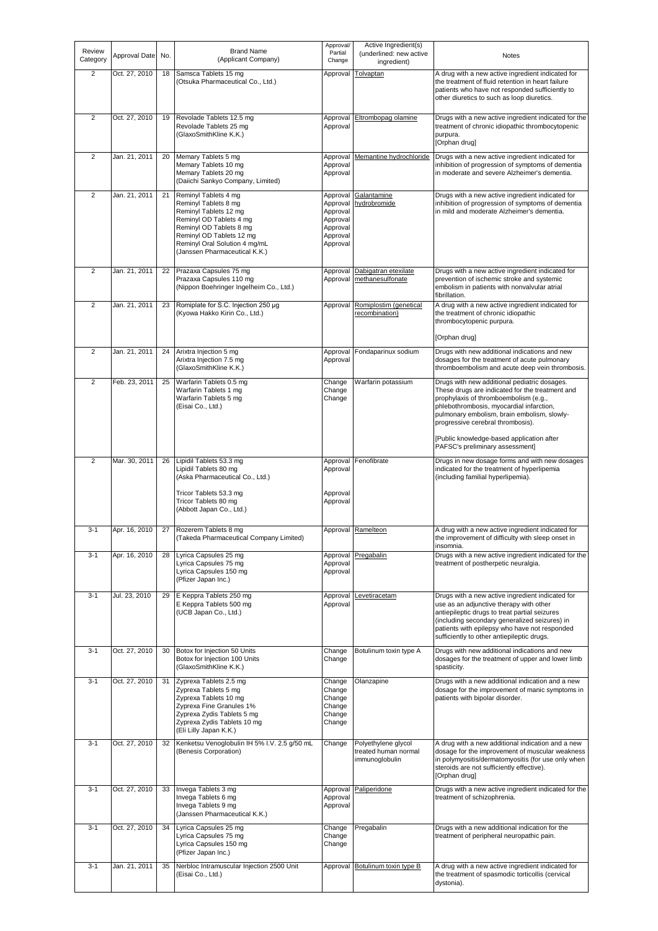| Review<br>Category | Approval Date | No. | <b>Brand Name</b><br>(Applicant Company)                                                                                                                                                                                  | Approval/<br>Partial<br>Change                                                   | Active Ingredient(s)<br>(underlined: new active<br>ingredient) | Notes                                                                                                                                                                                                                                                                                        |
|--------------------|---------------|-----|---------------------------------------------------------------------------------------------------------------------------------------------------------------------------------------------------------------------------|----------------------------------------------------------------------------------|----------------------------------------------------------------|----------------------------------------------------------------------------------------------------------------------------------------------------------------------------------------------------------------------------------------------------------------------------------------------|
| $\overline{2}$     | Oct. 27, 2010 | 18  | Samsca Tablets 15 mg<br>(Otsuka Pharmaceutical Co., Ltd.)                                                                                                                                                                 | Approval                                                                         | Tolvaptan                                                      | A drug with a new active ingredient indicated for<br>the treatment of fluid retention in heart failure<br>patients who have not responded sufficiently to<br>other diuretics to such as loop diuretics.                                                                                      |
| $\overline{2}$     | Oct. 27, 2010 | 19  | Revolade Tablets 12.5 mg<br>Revolade Tablets 25 mg<br>(GlaxoSmithKline K.K.)                                                                                                                                              | Approval<br>Approval                                                             | Eltrombopag olamine                                            | Drugs with a new active ingredient indicated for the<br>treatment of chronic idiopathic thrombocytopenic<br>purpura.<br>[Orphan drug]                                                                                                                                                        |
| $\overline{2}$     | Jan. 21, 2011 | 20  | Memary Tablets 5 mg<br>Memary Tablets 10 mg<br>Memary Tablets 20 mg<br>(Daiichi Sankyo Company, Limited)                                                                                                                  | Approval<br>Approval<br>Approval                                                 | Memantine hydrochloride                                        | Drugs with a new active ingredient indicated for<br>inhibition of progression of symptoms of dementia<br>in moderate and severe Alzheimer's dementia.                                                                                                                                        |
| $\overline{2}$     | Jan. 21, 2011 | 21  | Reminyl Tablets 4 mg<br>Reminyl Tablets 8 mg<br>Reminyl Tablets 12 mg<br>Reminyl OD Tablets 4 mg<br>Reminyl OD Tablets 8 mg<br>Reminyl OD Tablets 12 mg<br>Reminyl Oral Solution 4 mg/mL<br>(Janssen Pharmaceutical K.K.) | Approval<br>Approval<br>Approval<br>Approval<br>Approval<br>Approval<br>Approval | Galantamine<br>hydrobromide                                    | Drugs with a new active ingredient indicated for<br>inhibition of progression of symptoms of dementia<br>in mild and moderate Alzheimer's dementia.                                                                                                                                          |
| $\overline{2}$     | Jan. 21, 2011 | 22  | Prazaxa Capsules 75 mg<br>Prazaxa Capsules 110 mg<br>(Nippon Boehringer Ingelheim Co., Ltd.)                                                                                                                              | Approval<br>Approval                                                             | Dabigatran etexilate<br>methanesulfonate                       | Drugs with a new active ingredient indicated for<br>prevention of ischemic stroke and systemic<br>embolism in patients with nonvalvular atrial<br>fibrillation.                                                                                                                              |
| $\overline{2}$     | Jan. 21, 2011 | 23  | Romiplate for S.C. Injection 250 µg<br>(Kyowa Hakko Kirin Co., Ltd.)                                                                                                                                                      | Approval                                                                         | Romiplostim (genetical<br>recombination)                       | A drug with a new active ingredient indicated for<br>the treatment of chronic idiopathic<br>thrombocytopenic purpura.<br>[Orphan drug]                                                                                                                                                       |
| $\overline{2}$     | Jan. 21, 2011 | 24  | Arixtra Injection 5 mg<br>Arixtra Injection 7.5 mg<br>(GlaxoSmithKline K.K.)                                                                                                                                              | Approval<br>Approval                                                             | Fondaparinux sodium                                            | Drugs with new additional indications and new<br>dosages for the treatment of acute pulmonary<br>thromboembolism and acute deep vein thrombosis.                                                                                                                                             |
| $\overline{2}$     | Feb. 23, 2011 | 25  | Warfarin Tablets 0.5 mg<br>Warfarin Tablets 1 mg<br>Warfarin Tablets 5 mg<br>(Eisai Co., Ltd.)                                                                                                                            | Change<br>Change<br>Change                                                       | Warfarin potassium                                             | Drugs with new additional pediatric dosages.<br>These drugs are indicated for the treatment and<br>prophylaxis of thromboembolism (e.g.,<br>phlebothrombosis, myocardial infarction,<br>pulmonary embolism, brain embolism, slowly-<br>progressive cerebral thrombosis).                     |
| $\overline{2}$     | Mar. 30, 2011 | 26  | Lipidil Tablets 53.3 mg                                                                                                                                                                                                   | Approval                                                                         | Fenofibrate                                                    | [Public knowledge-based application after<br>PAFSC's preliminary assessment]<br>Drugs in new dosage forms and with new dosages                                                                                                                                                               |
|                    |               |     | Lipidil Tablets 80 mg<br>(Aska Pharmaceutical Co., Ltd.)<br>Tricor Tablets 53.3 mg<br>Tricor Tablets 80 mg<br>(Abbott Japan Co., Ltd.)                                                                                    | Approval<br>Approval<br>Approval                                                 |                                                                | indicated for the treatment of hyperlipemia<br>(including familial hyperlipemia).                                                                                                                                                                                                            |
| $3 - 1$            | Apr. 16, 2010 | 27  | Rozerem Tablets 8 mg<br>(Takeda Pharmaceutical Company Limited)                                                                                                                                                           |                                                                                  | Approval Ramelteon                                             | A drug with a new active ingredient indicated for<br>the improvement of difficulty with sleep onset in<br>insomnia.                                                                                                                                                                          |
| $3 - 1$            | Apr. 16, 2010 | 28  | Lyrica Capsules 25 mg<br>Lyrica Capsules 75 mg<br>Lyrica Capsules 150 mg<br>(Pfizer Japan Inc.)                                                                                                                           | Approval<br>Approval<br>Approval                                                 | Pregabalin                                                     | Drugs with a new active ingredient indicated for the<br>treatment of postherpetic neuralgia.                                                                                                                                                                                                 |
| $3 - 1$            | Jul. 23, 2010 | 29  | E Keppra Tablets 250 mg<br>E Keppra Tablets 500 mg<br>(UCB Japan Co., Ltd.)                                                                                                                                               | Approval<br>Approval                                                             | Levetiracetam                                                  | Drugs with a new active ingredient indicated for<br>use as an adjunctive therapy with other<br>antiepileptic drugs to treat partial seizures<br>(including secondary generalized seizures) in<br>patients with epilepsy who have not responded<br>sufficiently to other antiepileptic drugs. |
| $3 - 1$            | Oct. 27, 2010 | 30  | Botox for Injection 50 Units<br>Botox for Injection 100 Units<br>(GlaxoSmithKline K.K.)                                                                                                                                   | Change<br>Change                                                                 | Botulinum toxin type A                                         | Drugs with new additional indications and new<br>dosages for the treatment of upper and lower limb<br>spasticity.                                                                                                                                                                            |
| $3 - 1$            | Oct. 27, 2010 | 31  | Zyprexa Tablets 2.5 mg<br>Zyprexa Tablets 5 mg<br>Zyprexa Tablets 10 mg<br>Zyprexa Fine Granules 1%<br>Zyprexa Zydis Tablets 5 mg<br>Zyprexa Zydis Tablets 10 mg<br>(Eli Lilly Japan K.K.)                                | Change<br>Change<br>Change<br>Change<br>Change<br>Change                         | Olanzapine                                                     | Drugs with a new additional indication and a new<br>dosage for the improvement of manic symptoms in<br>patients with bipolar disorder.                                                                                                                                                       |
| $3 - 1$            | Oct. 27, 2010 | 32  | Kenketsu Venoglobulin IH 5% I.V. 2.5 g/50 mL<br>(Benesis Corporation)                                                                                                                                                     | Change                                                                           | Polyethylene glycol<br>treated human normal<br>immunoglobulin  | A drug with a new additional indication and a new<br>dosage for the improvement of muscular weakness<br>in polymyositis/dermatomyositis (for use only when<br>steroids are not sufficiently effective).<br>[Orphan drug]                                                                     |
| $3 - 1$            | Oct. 27, 2010 | 33  | Invega Tablets 3 mg<br>Invega Tablets 6 mg<br>Invega Tablets 9 mg<br>(Janssen Pharmaceutical K.K.)                                                                                                                        | Approval<br>Approval<br>Approval                                                 | Paliperidone                                                   | Drugs with a new active ingredient indicated for the<br>treatment of schizophrenia.                                                                                                                                                                                                          |
| $3 - 1$            | Oct. 27, 2010 | 34  | Lyrica Capsules 25 mg<br>Lyrica Capsules 75 mg<br>Lyrica Capsules 150 mg<br>(Pfizer Japan Inc.)                                                                                                                           | Change<br>Change<br>Change                                                       | Pregabalin                                                     | Drugs with a new additional indication for the<br>treatment of peripheral neuropathic pain.                                                                                                                                                                                                  |
| $3-1$              | Jan. 21, 2011 | 35  | Nerbloc Intramuscular Injection 2500 Unit<br>(Eisai Co., Ltd.)                                                                                                                                                            | Approval                                                                         | Botulinum toxin type B                                         | A drug with a new active ingredient indicated for<br>the treatment of spasmodic torticollis (cervical<br>dystonia).                                                                                                                                                                          |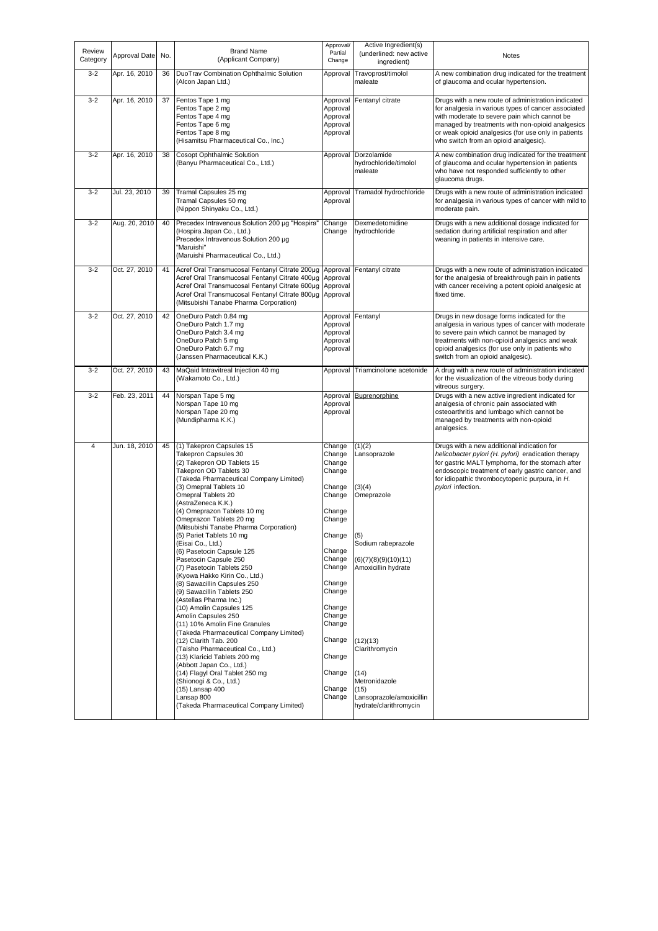| Review<br>Category | Approval Date | No. | <b>Brand Name</b><br>(Applicant Company)                                                                                                                                                                                                                                                                                                                                                                                                                                                                                                                                                                                                                                                                                                                                                                                                                                                                                                                                                   | Approval/<br>Partial<br>Change                                                                                                                                                                                           | Active Ingredient(s)<br>(underlined: new active<br>ingredient)                                                                                                                                                                                  | Notes                                                                                                                                                                                                                                                                                                         |
|--------------------|---------------|-----|--------------------------------------------------------------------------------------------------------------------------------------------------------------------------------------------------------------------------------------------------------------------------------------------------------------------------------------------------------------------------------------------------------------------------------------------------------------------------------------------------------------------------------------------------------------------------------------------------------------------------------------------------------------------------------------------------------------------------------------------------------------------------------------------------------------------------------------------------------------------------------------------------------------------------------------------------------------------------------------------|--------------------------------------------------------------------------------------------------------------------------------------------------------------------------------------------------------------------------|-------------------------------------------------------------------------------------------------------------------------------------------------------------------------------------------------------------------------------------------------|---------------------------------------------------------------------------------------------------------------------------------------------------------------------------------------------------------------------------------------------------------------------------------------------------------------|
| $3 - 2$            | Apr. 16, 2010 | 36  | DuoTrav Combination Ophthalmic Solution<br>(Alcon Japan Ltd.)                                                                                                                                                                                                                                                                                                                                                                                                                                                                                                                                                                                                                                                                                                                                                                                                                                                                                                                              | Approval                                                                                                                                                                                                                 | Travoprost/timolol<br>maleate                                                                                                                                                                                                                   | A new combination drug indicated for the treatment<br>of glaucoma and ocular hypertension.                                                                                                                                                                                                                    |
| $3 - 2$            | Apr. 16, 2010 | 37  | Fentos Tape 1 mg<br>Fentos Tape 2 mg<br>Fentos Tape 4 mg<br>Fentos Tape 6 mg<br>Fentos Tape 8 mg<br>(Hisamitsu Pharmaceutical Co., Inc.)                                                                                                                                                                                                                                                                                                                                                                                                                                                                                                                                                                                                                                                                                                                                                                                                                                                   | Approval<br>Approval<br>Approval<br>Approval<br>Approval                                                                                                                                                                 | Fentanyl citrate                                                                                                                                                                                                                                | Drugs with a new route of administration indicated<br>for analgesia in various types of cancer associated<br>with moderate to severe pain which cannot be<br>managed by treatments with non-opioid analgesics<br>or weak opioid analgesics (for use only in patients<br>who switch from an opioid analgesic). |
| $3 - 2$            | Apr. 16, 2010 | 38  | Cosopt Ophthalmic Solution<br>(Banyu Pharmaceutical Co., Ltd.)                                                                                                                                                                                                                                                                                                                                                                                                                                                                                                                                                                                                                                                                                                                                                                                                                                                                                                                             | Approval                                                                                                                                                                                                                 | Dorzolamide<br>hydrochloride/timolol<br>maleate                                                                                                                                                                                                 | A new combination drug indicated for the treatment<br>of glaucoma and ocular hypertension in patients<br>who have not responded sufficiently to other<br>glaucoma drugs.                                                                                                                                      |
| $3 - 2$            | Jul. 23, 2010 | 39  | Tramal Capsules 25 mg<br>Tramal Capsules 50 mg<br>(Nippon Shinyaku Co., Ltd.)                                                                                                                                                                                                                                                                                                                                                                                                                                                                                                                                                                                                                                                                                                                                                                                                                                                                                                              | Approval<br>Approval                                                                                                                                                                                                     | Tramadol hydrochloride                                                                                                                                                                                                                          | Drugs with a new route of administration indicated<br>for analgesia in various types of cancer with mild to<br>moderate pain.                                                                                                                                                                                 |
| $3 - 2$            | Aug. 20, 2010 | 40  | Precedex Intravenous Solution 200 µg "Hospira"<br>(Hospira Japan Co., Ltd.)<br>Precedex Intravenous Solution 200 µg<br>"Maruishi"<br>(Maruishi Pharmaceutical Co., Ltd.)                                                                                                                                                                                                                                                                                                                                                                                                                                                                                                                                                                                                                                                                                                                                                                                                                   | Change<br>Change                                                                                                                                                                                                         | Dexmedetomidine<br>hydrochloride                                                                                                                                                                                                                | Drugs with a new additional dosage indicated for<br>sedation during artificial respiration and after<br>weaning in patients in intensive care.                                                                                                                                                                |
| $3 - 2$            | Oct. 27, 2010 | 41  | Acref Oral Transmucosal Fentanyl Citrate 200µg Approval<br>Acref Oral Transmucosal Fentanyl Citrate 400µg<br>Acref Oral Transmucosal Fentanyl Citrate 600µg Approval<br>Acref Oral Transmucosal Fentanyl Citrate 800µg Approval<br>(Mitsubishi Tanabe Pharma Corporation)                                                                                                                                                                                                                                                                                                                                                                                                                                                                                                                                                                                                                                                                                                                  | Approval                                                                                                                                                                                                                 | Fentanyl citrate                                                                                                                                                                                                                                | Drugs with a new route of administration indicated<br>for the analgesia of breakthrough pain in patients<br>with cancer receiving a potent opioid analgesic at<br>fixed time.                                                                                                                                 |
| $3 - 2$            | Oct. 27, 2010 | 42  | OneDuro Patch 0.84 mg<br>OneDuro Patch 1.7 mg<br>OneDuro Patch 3.4 mg<br>OneDuro Patch 5 mg<br>OneDuro Patch 6.7 mg<br>(Janssen Pharmaceutical K.K.)                                                                                                                                                                                                                                                                                                                                                                                                                                                                                                                                                                                                                                                                                                                                                                                                                                       | Approval<br>Approval<br>Approval<br>Approval<br>Approval                                                                                                                                                                 | Fentanyl                                                                                                                                                                                                                                        | Drugs in new dosage forms indicated for the<br>analgesia in various types of cancer with moderate<br>to severe pain which cannot be managed by<br>treatments with non-opioid analgesics and weak<br>opioid analgesics (for use only in patients who<br>switch from an opioid analgesic).                      |
| $3 - 2$            | Oct. 27, 2010 | 43  | MaQaid Intravitreal Injection 40 mg<br>(Wakamoto Co., Ltd.)                                                                                                                                                                                                                                                                                                                                                                                                                                                                                                                                                                                                                                                                                                                                                                                                                                                                                                                                | Approval                                                                                                                                                                                                                 | Triamcinolone acetonide                                                                                                                                                                                                                         | A drug with a new route of administration indicated<br>for the visualization of the vitreous body during<br>vitreous surgery.                                                                                                                                                                                 |
| $3 - 2$            | Feb. 23, 2011 | 44  | Norspan Tape 5 mg<br>Norspan Tape 10 mg<br>Norspan Tape 20 mg<br>(Mundipharma K.K.)                                                                                                                                                                                                                                                                                                                                                                                                                                                                                                                                                                                                                                                                                                                                                                                                                                                                                                        | Approval<br>Approval<br>Approval                                                                                                                                                                                         | Buprenorphine                                                                                                                                                                                                                                   | Drugs with a new active ingredient indicated for<br>analgesia of chronic pain associated with<br>osteoarthritis and lumbago which cannot be<br>managed by treatments with non-opioid<br>analgesics.                                                                                                           |
| $\overline{4}$     | Jun. 18, 2010 | 45  | (1) Takepron Capsules 15<br>Takepron Capsules 30<br>(2) Takepron OD Tablets 15<br>Takepron OD Tablets 30<br>(Takeda Pharmaceutical Company Limited)<br>(3) Omepral Tablets 10<br>Omepral Tablets 20<br>(AstraZeneca K.K.)<br>(4) Omeprazon Tablets 10 mg<br>Omeprazon Tablets 20 mg<br>(Mitsubishi Tanabe Pharma Corporation)<br>(5) Pariet Tablets 10 mg<br>(Eisai Co., Ltd.)<br>(6) Pasetocin Capsule 125<br>Pasetocin Capsule 250<br>(7) Pasetocin Tablets 250<br>(Kyowa Hakko Kirin Co., Ltd.)<br>(8) Sawacillin Capsules 250<br>(9) Sawacillin Tablets 250<br>(Astellas Pharma Inc.)<br>(10) Amolin Capsules 125<br>Amolin Capsules 250<br>(11) 10% Amolin Fine Granules<br>(Takeda Pharmaceutical Company Limited)<br>(12) Clarith Tab. 200<br>(Taisho Pharmaceutical Co., Ltd.)<br>(13) Klaricid Tablets 200 mg<br>(Abbott Japan Co., Ltd.)<br>(14) Flagyl Oral Tablet 250 mg<br>(Shionogi & Co., Ltd.)<br>(15) Lansap 400<br>Lansap 800<br>(Takeda Pharmaceutical Company Limited) | Change<br>Change<br>Change<br>Change<br>Change<br>Change<br>Change<br>Change<br>Change<br>Change<br>Change<br>Change<br>Change<br>Change<br>Change<br>Change<br>Change<br>Change<br>Change<br>Change<br>Change<br>Change | (1)(2)<br>Lansoprazole<br>(3)(4)<br>Omeprazole<br>(5)<br>Sodium rabeprazole<br>(6)(7)(8)(9)(10)(11)<br>Amoxicillin hydrate<br>(12)(13)<br>Clarithromycin<br>(14)<br>Metronidazole<br>(15)<br>Lansoprazole/amoxicillin<br>hydrate/clarithromycin | Drugs with a new additional indication for<br>helicobacter pylori (H. pylori) eradication therapy<br>for gastric MALT lymphoma, for the stomach after<br>endoscopic treatment of early gastric cancer, and<br>for idiopathic thrombocytopenic purpura, in H.<br>pylori infection.                             |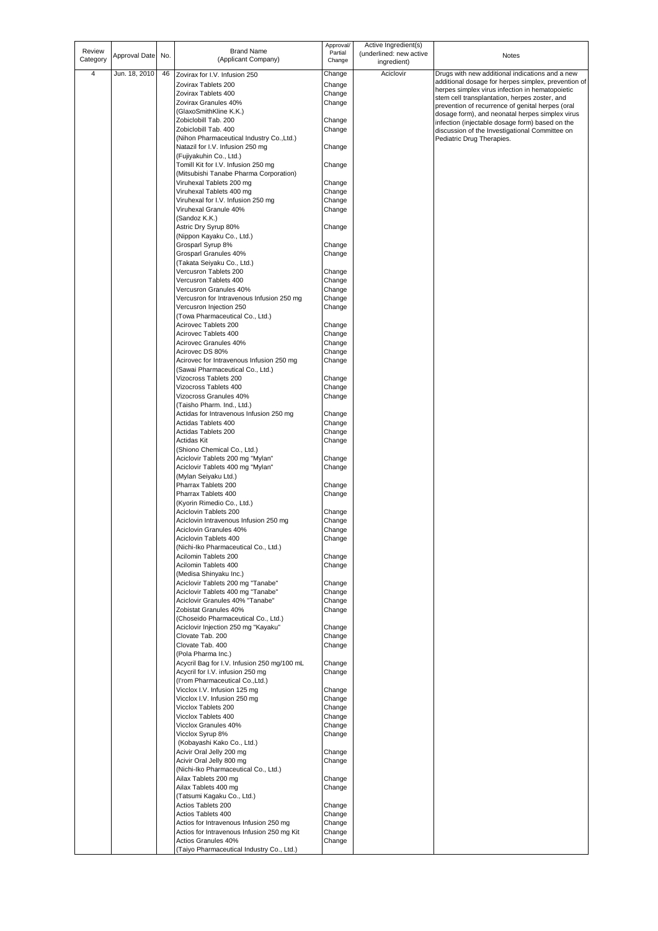| Review<br>Category      | Approval Date | No. | <b>Brand Name</b><br>(Applicant Company)                                        | Approval/<br>Partial<br>Change | Active Ingredient(s)<br>(underlined: new active<br>ingredient) | Notes                                                                                            |
|-------------------------|---------------|-----|---------------------------------------------------------------------------------|--------------------------------|----------------------------------------------------------------|--------------------------------------------------------------------------------------------------|
| $\overline{\mathbf{4}}$ | Jun. 18, 2010 | 46  | Zovirax for I.V. Infusion 250                                                   | Change                         | Aciclovir                                                      | Drugs with new additional indications and a new                                                  |
|                         |               |     | Zovirax Tablets 200                                                             | Change                         |                                                                | additional dosage for herpes simplex, prevention of                                              |
|                         |               |     | Zovirax Tablets 400                                                             | Change                         |                                                                | herpes simplex virus infection in hematopoietic<br>stem cell transplantation, herpes zoster, and |
|                         |               |     | Zovirax Granules 40%                                                            | Change                         |                                                                | prevention of recurrence of genital herpes (oral                                                 |
|                         |               |     | (GlaxoSmithKline K.K.)                                                          |                                |                                                                | dosage form), and neonatal herpes simplex virus                                                  |
|                         |               |     | Zobiclobill Tab. 200<br>Zobiclobill Tab. 400                                    | Change                         |                                                                | infection (injectable dosage form) based on the                                                  |
|                         |               |     | (Nihon Pharmaceutical Industry Co., Ltd.)                                       | Change                         |                                                                | discussion of the Investigational Committee on<br>Pediatric Drug Therapies.                      |
|                         |               |     | Natazil for I.V. Infusion 250 mg<br>(Fujiyakuhin Co., Ltd.)                     | Change                         |                                                                |                                                                                                  |
|                         |               |     | Tomill Kit for I.V. Infusion 250 mg<br>(Mitsubishi Tanabe Pharma Corporation)   | Change                         |                                                                |                                                                                                  |
|                         |               |     | Viruhexal Tablets 200 mg                                                        | Change                         |                                                                |                                                                                                  |
|                         |               |     | Viruhexal Tablets 400 mg                                                        | Change                         |                                                                |                                                                                                  |
|                         |               |     | Viruhexal for I.V. Infusion 250 mg                                              | Change                         |                                                                |                                                                                                  |
|                         |               |     | Viruhexal Granule 40%<br>(Sandoz K.K.)                                          | Change                         |                                                                |                                                                                                  |
|                         |               |     | Astric Dry Syrup 80%                                                            | Change                         |                                                                |                                                                                                  |
|                         |               |     | (Nippon Kayaku Co., Ltd.)<br>Grosparl Syrup 8%                                  | Change                         |                                                                |                                                                                                  |
|                         |               |     | Grosparl Granules 40%                                                           | Change                         |                                                                |                                                                                                  |
|                         |               |     | (Takata Seiyaku Co., Ltd.)                                                      |                                |                                                                |                                                                                                  |
|                         |               |     | Vercusron Tablets 200                                                           | Change                         |                                                                |                                                                                                  |
|                         |               |     | Vercusron Tablets 400                                                           | Change                         |                                                                |                                                                                                  |
|                         |               |     | Vercusron Granules 40%                                                          | Change                         |                                                                |                                                                                                  |
|                         |               |     | Vercusron for Intravenous Infusion 250 mg                                       | Change                         |                                                                |                                                                                                  |
|                         |               |     | Vercusron Injection 250<br>(Towa Pharmaceutical Co., Ltd.)                      | Change                         |                                                                |                                                                                                  |
|                         |               |     | Acirovec Tablets 200                                                            | Change                         |                                                                |                                                                                                  |
|                         |               |     | Acirovec Tablets 400                                                            | Change                         |                                                                |                                                                                                  |
|                         |               |     | Acirovec Granules 40%                                                           | Change                         |                                                                |                                                                                                  |
|                         |               |     | Acirovec DS 80%                                                                 | Change                         |                                                                |                                                                                                  |
|                         |               |     | Acirovec for Intravenous Infusion 250 mg<br>(Sawai Pharmaceutical Co., Ltd.)    | Change                         |                                                                |                                                                                                  |
|                         |               |     | Vizocross Tablets 200                                                           | Change                         |                                                                |                                                                                                  |
|                         |               |     | Vizocross Tablets 400                                                           | Change                         |                                                                |                                                                                                  |
|                         |               |     | Vizocross Granules 40%                                                          | Change                         |                                                                |                                                                                                  |
|                         |               |     | (Taisho Pharm. Ind., Ltd.)                                                      |                                |                                                                |                                                                                                  |
|                         |               |     | Actidas for Intravenous Infusion 250 mg<br>Actidas Tablets 400                  | Change<br>Change               |                                                                |                                                                                                  |
|                         |               |     | Actidas Tablets 200                                                             | Change                         |                                                                |                                                                                                  |
|                         |               |     | Actidas Kit                                                                     | Change                         |                                                                |                                                                                                  |
|                         |               |     | (Shiono Chemical Co., Ltd.)                                                     |                                |                                                                |                                                                                                  |
|                         |               |     | Aciclovir Tablets 200 mg "Mylan"                                                | Change                         |                                                                |                                                                                                  |
|                         |               |     | Aciclovir Tablets 400 mg "Mylan"<br>(Mylan Seiyaku Ltd.)                        | Change                         |                                                                |                                                                                                  |
|                         |               |     | Pharrax Tablets 200                                                             | Change                         |                                                                |                                                                                                  |
|                         |               |     | Pharrax Tablets 400                                                             | Change                         |                                                                |                                                                                                  |
|                         |               |     | (Kyorin Rimedio Co., Ltd.)                                                      |                                |                                                                |                                                                                                  |
|                         |               |     | Aciclovin Tablets 200                                                           | Change                         |                                                                |                                                                                                  |
|                         |               |     | Aciclovin Intravenous Infusion 250 mg<br>Aciclovin Granules 40%                 | Change<br>Change               |                                                                |                                                                                                  |
|                         |               |     | Aciclovin Tablets 400                                                           | Change                         |                                                                |                                                                                                  |
|                         |               |     | (Nichi-Iko Pharmaceutical Co., Ltd.)                                            |                                |                                                                |                                                                                                  |
|                         |               |     | Acilomin Tablets 200                                                            | Change                         |                                                                |                                                                                                  |
|                         |               |     | Acilomin Tablets 400<br>(Medisa Shinyaku Inc.)                                  | Change                         |                                                                |                                                                                                  |
|                         |               |     | Aciclovir Tablets 200 mg "Tanabe"                                               | Change                         |                                                                |                                                                                                  |
|                         |               |     | Aciclovir Tablets 400 mg "Tanabe"                                               | Change                         |                                                                |                                                                                                  |
|                         |               |     | Aciclovir Granules 40% "Tanabe"                                                 | Change                         |                                                                |                                                                                                  |
|                         |               |     | Zobistat Granules 40%                                                           | Change                         |                                                                |                                                                                                  |
|                         |               |     | (Choseido Pharmaceutical Co., Ltd.)<br>Aciclovir Injection 250 mg "Kayaku"      | Change                         |                                                                |                                                                                                  |
|                         |               |     | Clovate Tab. 200                                                                | Change                         |                                                                |                                                                                                  |
|                         |               |     | Clovate Tab. 400                                                                | Change                         |                                                                |                                                                                                  |
|                         |               |     | (Pola Pharma Inc.)                                                              |                                |                                                                |                                                                                                  |
|                         |               |     | Acycril Bag for I.V. Infusion 250 mg/100 mL<br>Acycril for I.V. infusion 250 mg | Change                         |                                                                |                                                                                                  |
|                         |               |     | (I'rom Pharmaceutical Co., Ltd.)                                                | Change                         |                                                                |                                                                                                  |
|                         |               |     | Vicclox I.V. Infusion 125 mg                                                    | Change                         |                                                                |                                                                                                  |
|                         |               |     | Vicclox I.V. Infusion 250 mg                                                    | Change                         |                                                                |                                                                                                  |
|                         |               |     | Vicclox Tablets 200                                                             | Change                         |                                                                |                                                                                                  |
|                         |               |     | Vicclox Tablets 400<br>Vicclox Granules 40%                                     | Change<br>Change               |                                                                |                                                                                                  |
|                         |               |     | Vicclox Syrup 8%                                                                | Change                         |                                                                |                                                                                                  |
|                         |               |     | (Kobayashi Kako Co., Ltd.)                                                      |                                |                                                                |                                                                                                  |
|                         |               |     | Acivir Oral Jelly 200 mg                                                        | Change                         |                                                                |                                                                                                  |
|                         |               |     | Acivir Oral Jelly 800 mg                                                        | Change                         |                                                                |                                                                                                  |
|                         |               |     | (Nichi-Iko Pharmaceutical Co., Ltd.)<br>Ailax Tablets 200 mg                    | Change                         |                                                                |                                                                                                  |
|                         |               |     | Ailax Tablets 400 mg                                                            | Change                         |                                                                |                                                                                                  |
|                         |               |     | (Tatsumi Kagaku Co., Ltd.)                                                      |                                |                                                                |                                                                                                  |
|                         |               |     | Actios Tablets 200                                                              | Change                         |                                                                |                                                                                                  |
|                         |               |     | Actios Tablets 400<br>Actios for Intravenous Infusion 250 mg                    | Change<br>Change               |                                                                |                                                                                                  |
|                         |               |     | Actios for Intravenous Infusion 250 mg Kit                                      | Change                         |                                                                |                                                                                                  |
|                         |               |     | Actios Granules 40%                                                             | Change                         |                                                                |                                                                                                  |
|                         |               |     | (Taiyo Pharmaceutical Industry Co., Ltd.)                                       |                                |                                                                |                                                                                                  |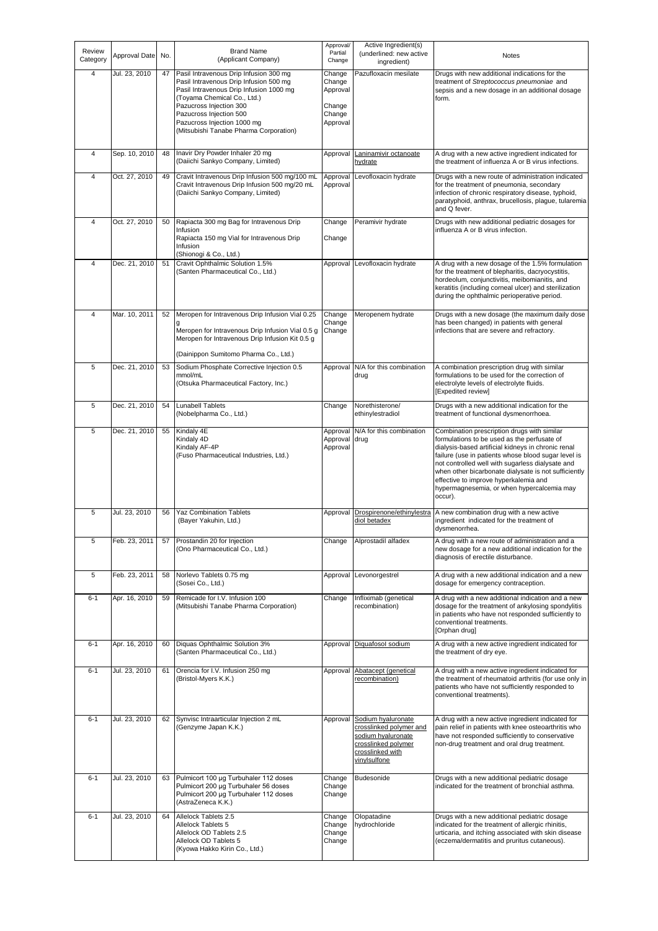| Review<br>Category | Approval Date | No. | <b>Brand Name</b><br>(Applicant Company)                                                                                                                                                                                                                                                  | Approval/<br>Partial<br>Change                               | Active Ingredient(s)<br>(underlined: new active<br>ingredient)                                                                 | Notes                                                                                                                                                                                                                                                                                                                                                                                                                 |
|--------------------|---------------|-----|-------------------------------------------------------------------------------------------------------------------------------------------------------------------------------------------------------------------------------------------------------------------------------------------|--------------------------------------------------------------|--------------------------------------------------------------------------------------------------------------------------------|-----------------------------------------------------------------------------------------------------------------------------------------------------------------------------------------------------------------------------------------------------------------------------------------------------------------------------------------------------------------------------------------------------------------------|
| 4                  | Jul. 23, 2010 | 47  | Pasil Intravenous Drip Infusion 300 mg<br>Pasil Intravenous Drip Infusion 500 mg<br>Pasil Intravenous Drip Infusion 1000 mg<br>(Toyama Chemical Co., Ltd.)<br>Pazucross Injection 300<br>Pazucross Injection 500<br>Pazucross Injection 1000 mg<br>(Mitsubishi Tanabe Pharma Corporation) | Change<br>Change<br>Approval<br>Change<br>Change<br>Approval | Pazufloxacin mesilate                                                                                                          | Drugs with new additional indications for the<br>treatment of Streptococcus pneumoniae and<br>sepsis and a new dosage in an additional dosage<br>form.                                                                                                                                                                                                                                                                |
| $\overline{4}$     | Sep. 10, 2010 | 48  | Inavir Dry Powder Inhaler 20 mg<br>(Daiichi Sankyo Company, Limited)                                                                                                                                                                                                                      | Approval                                                     | Laninamivir octanoate<br>hydrate                                                                                               | A drug with a new active ingredient indicated for<br>the treatment of influenza A or B virus infections.                                                                                                                                                                                                                                                                                                              |
| $\overline{4}$     | Oct. 27, 2010 | 49  | Cravit Intravenous Drip Infusion 500 mq/100 mL<br>Cravit Intravenous Drip Infusion 500 mg/20 mL<br>(Daiichi Sankyo Company, Limited)                                                                                                                                                      | Approval<br>Approval                                         | Levofloxacin hydrate                                                                                                           | Drugs with a new route of administration indicated<br>for the treatment of pneumonia, secondary<br>infection of chronic respiratory disease, typhoid,<br>paratyphoid, anthrax, brucellosis, plague, tularemia<br>and Q fever.                                                                                                                                                                                         |
| 4                  | Oct. 27, 2010 | 50  | Rapiacta 300 mg Bag for Intravenous Drip<br>Infusion<br>Rapiacta 150 mg Vial for Intravenous Drip<br>Infusion<br>(Shionogi & Co., Ltd.)                                                                                                                                                   | Change<br>Change                                             | Peramivir hydrate                                                                                                              | Drugs with new additional pediatric dosages for<br>influenza A or B virus infection.                                                                                                                                                                                                                                                                                                                                  |
| $\overline{4}$     | Dec. 21, 2010 | 51  | Cravit Ophthalmic Solution 1.5%<br>(Santen Pharmaceutical Co., Ltd.)                                                                                                                                                                                                                      | Approval                                                     | Levofloxacin hydrate                                                                                                           | A drug with a new dosage of the 1.5% formulation<br>for the treatment of blepharitis, dacryocystitis,<br>hordeolum, conjunctivitis, meibomianitis, and<br>keratitis (including corneal ulcer) and sterilization<br>during the ophthalmic perioperative period.                                                                                                                                                        |
| 4                  | Mar. 10, 2011 | 52  | Meropen for Intravenous Drip Infusion Vial 0.25<br>Meropen for Intravenous Drip Infusion Vial 0.5 g<br>Meropen for Intravenous Drip Infusion Kit 0.5 g<br>(Dainippon Sumitomo Pharma Co., Ltd.)                                                                                           | Change<br>Change<br>Change                                   | Meropenem hydrate                                                                                                              | Drugs with a new dosage (the maximum daily dose<br>has been changed) in patients with general<br>infections that are severe and refractory.                                                                                                                                                                                                                                                                           |
| 5                  | Dec. 21, 2010 | 53  | Sodium Phosphate Corrective Injection 0.5<br>mmol/mL<br>(Otsuka Pharmaceutical Factory, Inc.)                                                                                                                                                                                             | Approval                                                     | N/A for this combination<br>drug                                                                                               | A combination prescription drug with similar<br>formulations to be used for the correction of<br>electrolyte levels of electrolyte fluids.<br>[Expedited review]                                                                                                                                                                                                                                                      |
| 5                  | Dec. 21, 2010 | 54  | <b>Lunabell Tablets</b><br>(Nobelpharma Co., Ltd.)                                                                                                                                                                                                                                        | Change                                                       | Norethisterone/<br>ethinylestradiol                                                                                            | Drugs with a new additional indication for the<br>treatment of functional dysmenorrhoea.                                                                                                                                                                                                                                                                                                                              |
| 5                  | Dec. 21, 2010 | 55  | Kindaly 4E<br>Kindaly 4D<br>Kindaly AF-4P<br>(Fuso Pharmaceutical Industries, Ltd.)                                                                                                                                                                                                       | Approval<br>Approval<br>Approval                             | N/A for this combination<br>drug                                                                                               | Combination prescription drugs with similar<br>formulations to be used as the perfusate of<br>dialysis-based artificial kidneys in chronic renal<br>failure (use in patients whose blood sugar level is<br>not controlled well with sugarless dialysate and<br>when other bicarbonate dialysate is not sufficiently<br>effective to improve hyperkalemia and<br>hypermagnesemia, or when hypercalcemia may<br>occur). |
| 5                  | Jul. 23, 2010 | 56  | <b>Yaz Combination Tablets</b><br>(Bayer Yakuhin, Ltd.)                                                                                                                                                                                                                                   | Approval                                                     | Drospirenone/ethinylestra<br>diol betadex                                                                                      | A new combination drug with a new active<br>ingredient indicated for the treatment of<br>dysmenorrhea.                                                                                                                                                                                                                                                                                                                |
| 5                  | Feb. 23, 2011 | 57  | Prostandin 20 for Injection<br>(Ono Pharmaceutical Co., Ltd.)                                                                                                                                                                                                                             | Change                                                       | Alprostadil alfadex                                                                                                            | A drug with a new route of administration and a<br>new dosage for a new additional indication for the<br>diagnosis of erectile disturbance.                                                                                                                                                                                                                                                                           |
| 5                  | Feb. 23, 2011 | 58  | Norlevo Tablets 0.75 mg<br>(Sosei Co., Ltd.)                                                                                                                                                                                                                                              | Approval                                                     | Levonorgestrel                                                                                                                 | A drug with a new additional indication and a new<br>dosage for emergency contraception.                                                                                                                                                                                                                                                                                                                              |
| $6 - 1$            | Apr. 16, 2010 | 59  | Remicade for I.V. Infusion 100<br>(Mitsubishi Tanabe Pharma Corporation)                                                                                                                                                                                                                  | Change                                                       | Infliximab (genetical<br>recombination)                                                                                        | A drug with a new additional indication and a new<br>dosage for the treatment of ankylosing spondylitis<br>in patients who have not responded sufficiently to<br>conventional treatments.<br>[Orphan drug]                                                                                                                                                                                                            |
| $6 - 1$            | Apr. 16, 2010 | 60  | Diquas Ophthalmic Solution 3%<br>(Santen Pharmaceutical Co., Ltd.)                                                                                                                                                                                                                        | Approval                                                     | Diquafosol sodium                                                                                                              | A drug with a new active ingredient indicated for<br>the treatment of dry eye.                                                                                                                                                                                                                                                                                                                                        |
| $6 - 1$            | Jul. 23, 2010 | 61  | Orencia for I.V. Infusion 250 mg<br>(Bristol-Myers K.K.)                                                                                                                                                                                                                                  | Approval                                                     | Abatacept (genetical<br>recombination)                                                                                         | A drug with a new active ingredient indicated for<br>the treatment of rheumatoid arthritis (for use only in<br>patients who have not sufficiently responded to<br>conventional treatments).                                                                                                                                                                                                                           |
| $6 - 1$            | Jul. 23, 2010 | 62  | Synvisc Intraarticular Injection 2 mL<br>(Genzyme Japan K.K.)                                                                                                                                                                                                                             | Approval                                                     | Sodium hyaluronate<br>crosslinked polymer and<br>sodium hyaluronate<br>crosslinked polymer<br>crosslinked with<br>vinylsulfone | A drug with a new active ingredient indicated for<br>pain relief in patients with knee osteoarthritis who<br>have not responded sufficiently to conservative<br>non-drug treatment and oral drug treatment.                                                                                                                                                                                                           |
| $6 - 1$            | Jul. 23, 2010 | 63  | Pulmicort 100 µg Turbuhaler 112 doses<br>Pulmicort 200 µg Turbuhaler 56 doses<br>Pulmicort 200 µg Turbuhaler 112 doses<br>(AstraZeneca K.K.)                                                                                                                                              | Change<br>Change<br>Change                                   | Budesonide                                                                                                                     | Drugs with a new additional pediatric dosage<br>indicated for the treatment of bronchial asthma.                                                                                                                                                                                                                                                                                                                      |
| $6 - 1$            | Jul. 23, 2010 | 64  | Allelock Tablets 2.5<br>Allelock Tablets 5<br>Allelock OD Tablets 2.5<br>Allelock OD Tablets 5<br>(Kyowa Hakko Kirin Co., Ltd.)                                                                                                                                                           | Change<br>Change<br>Change<br>Change                         | Olopatadine<br>hydrochloride                                                                                                   | Drugs with a new additional pediatric dosage<br>indicated for the treatment of allergic rhinitis,<br>urticaria, and itching associated with skin disease<br>(eczema/dermatitis and pruritus cutaneous).                                                                                                                                                                                                               |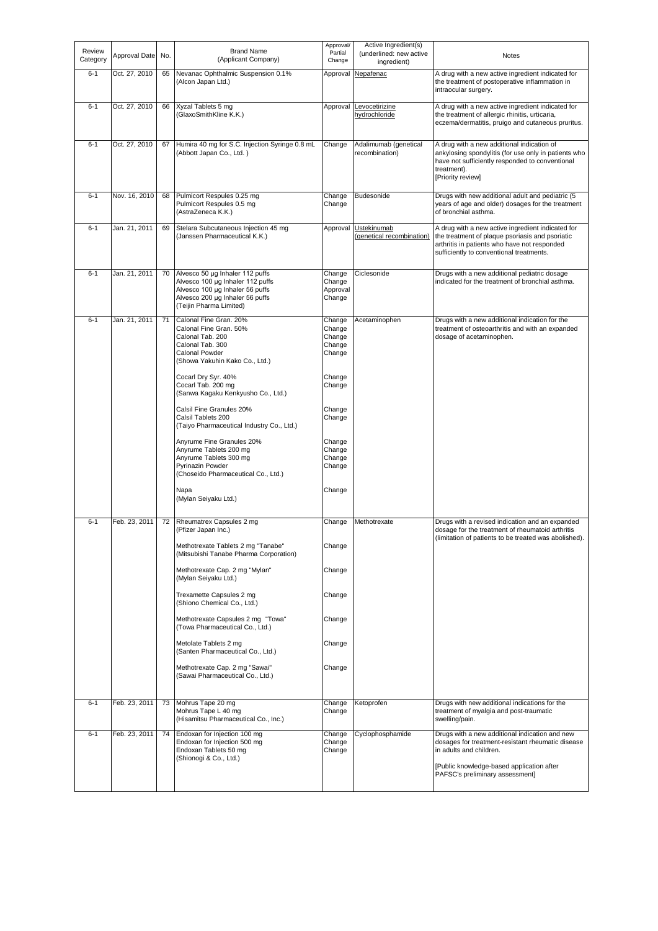| Review<br>Category | Approval Date | No. | <b>Brand Name</b><br>(Applicant Company)                                                                                                                             | Approval/<br>Partial<br>Change                 | Active Ingredient(s)<br>(underlined: new active<br>ingredient) | Notes                                                                                                                                                                                                          |
|--------------------|---------------|-----|----------------------------------------------------------------------------------------------------------------------------------------------------------------------|------------------------------------------------|----------------------------------------------------------------|----------------------------------------------------------------------------------------------------------------------------------------------------------------------------------------------------------------|
| $6 - 1$            | Oct. 27, 2010 | 65  | Nevanac Ophthalmic Suspension 0.1%<br>(Alcon Japan Ltd.)                                                                                                             | Approval                                       | Nepafenac                                                      | A drug with a new active ingredient indicated for<br>the treatment of postoperative inflammation in<br>intraocular surgery.                                                                                    |
| $6 - 1$            | Oct. 27, 2010 | 66  | Xyzal Tablets 5 mg<br>(GlaxoSmithKline K.K.)                                                                                                                         | Approval                                       | Levocetirizine<br>hydrochloride                                | A drug with a new active ingredient indicated for<br>the treatment of allergic rhinitis, urticaria,<br>eczema/dermatitis, pruigo and cutaneous pruritus.                                                       |
| $6 - 1$            | Oct. 27, 2010 | 67  | Humira 40 mg for S.C. Injection Syringe 0.8 mL<br>(Abbott Japan Co., Ltd.)                                                                                           | Change                                         | Adalimumab (genetical<br>recombination)                        | A drug with a new additional indication of<br>ankylosing spondylitis (for use only in patients who<br>have not sufficiently responded to conventional<br>treatment).<br>[Priority review]                      |
| $6 - 1$            | Nov. 16, 2010 | 68  | Pulmicort Respules 0.25 mg<br>Pulmicort Respules 0.5 mg<br>(AstraZeneca K.K.)                                                                                        | Change<br>Change                               | Budesonide                                                     | Drugs with new additional adult and pediatric (5<br>years of age and older) dosages for the treatment<br>of bronchial asthma.                                                                                  |
| $6 - 1$            | Jan. 21, 2011 | 69  | Stelara Subcutaneous Injection 45 mg<br>(Janssen Pharmaceutical K.K.)                                                                                                | Approval                                       | Ustekinumab<br>(genetical recombination)                       | A drug with a new active ingredient indicated for<br>the treatment of plaque psoriasis and psoriatic<br>arthritis in patients who have not responded<br>sufficiently to conventional treatments.               |
| $6 - 1$            | Jan. 21, 2011 | 70  | Alvesco 50 µg Inhaler 112 puffs<br>Alvesco 100 µg Inhaler 112 puffs<br>Alvesco 100 µg Inhaler 56 puffs<br>Alvesco 200 µg Inhaler 56 puffs<br>(Teijin Pharma Limited) | Change<br>Change<br>Approval<br>Change         | Ciclesonide                                                    | Drugs with a new additional pediatric dosage<br>indicated for the treatment of bronchial asthma.                                                                                                               |
| $6 - 1$            | Jan. 21, 2011 | 71  | Calonal Fine Gran, 20%<br>Calonal Fine Gran, 50%<br>Calonal Tab. 200<br>Calonal Tab. 300<br>Calonal Powder<br>(Showa Yakuhin Kako Co., Ltd.)                         | Change<br>Change<br>Change<br>Change<br>Change | Acetaminophen                                                  | Drugs with a new additional indication for the<br>treatment of osteoarthritis and with an expanded<br>dosage of acetaminophen.                                                                                 |
|                    |               |     | Cocarl Dry Syr. 40%<br>Cocarl Tab. 200 mg<br>(Sanwa Kagaku Kenkyusho Co., Ltd.)                                                                                      | Change<br>Change                               |                                                                |                                                                                                                                                                                                                |
|                    |               |     | Calsil Fine Granules 20%<br>Calsil Tablets 200<br>(Taiyo Pharmaceutical Industry Co., Ltd.)                                                                          | Change<br>Change                               |                                                                |                                                                                                                                                                                                                |
|                    |               |     | Anyrume Fine Granules 20%<br>Anyrume Tablets 200 mg<br>Anyrume Tablets 300 mg<br>Pyrinazin Powder<br>(Choseido Pharmaceutical Co., Ltd.)                             | Change<br>Change<br>Change<br>Change           |                                                                |                                                                                                                                                                                                                |
|                    |               |     | Napa<br>(Mylan Seiyaku Ltd.)                                                                                                                                         | Change                                         |                                                                |                                                                                                                                                                                                                |
| $6 - 1$            | Feb. 23, 2011 | 72  | Rheumatrex Capsules 2 mg<br>(Pfizer Japan Inc.)                                                                                                                      | Change                                         | Methotrexate                                                   | Drugs with a revised indication and an expanded<br>dosage for the treatment of rheumatoid arthritis                                                                                                            |
|                    |               |     | Methotrexate Tablets 2 mg "Tanabe"<br>(Mitsubishi Tanabe Pharma Corporation)                                                                                         | Change                                         |                                                                | (limitation of patients to be treated was abolished).                                                                                                                                                          |
|                    |               |     | Methotrexate Cap. 2 mg "Mylan"<br>(Mylan Seiyaku Ltd.)                                                                                                               | Change                                         |                                                                |                                                                                                                                                                                                                |
|                    |               |     | Trexamette Capsules 2 mg<br>(Shiono Chemical Co., Ltd.)                                                                                                              | Change                                         |                                                                |                                                                                                                                                                                                                |
|                    |               |     | Methotrexate Capsules 2 mg "Towa"<br>(Towa Pharmaceutical Co., Ltd.)                                                                                                 | Change                                         |                                                                |                                                                                                                                                                                                                |
|                    |               |     | Metolate Tablets 2 mg<br>(Santen Pharmaceutical Co., Ltd.)                                                                                                           | Change                                         |                                                                |                                                                                                                                                                                                                |
|                    |               |     | Methotrexate Cap. 2 mg "Sawai"<br>(Sawai Pharmaceutical Co., Ltd.)                                                                                                   | Change                                         |                                                                |                                                                                                                                                                                                                |
| $6 - 1$            | Feb. 23, 2011 | 73  | Mohrus Tape 20 mg<br>Mohrus Tape L 40 mg<br>(Hisamitsu Pharmaceutical Co., Inc.)                                                                                     | Change<br>Change                               | Ketoprofen                                                     | Drugs with new additional indications for the<br>treatment of myalgia and post-traumatic<br>swelling/pain.                                                                                                     |
| $6 - 1$            | Feb. 23, 2011 | 74  | Endoxan for Injection 100 mg<br>Endoxan for Injection 500 mg<br>Endoxan Tablets 50 mg<br>(Shionogi & Co., Ltd.)                                                      | Change<br>Change<br>Change                     | Cyclophosphamide                                               | Drugs with a new additional indication and new<br>dosages for treatment-resistant rheumatic disease<br>in adults and children.<br>[Public knowledge-based application after<br>PAFSC's preliminary assessment] |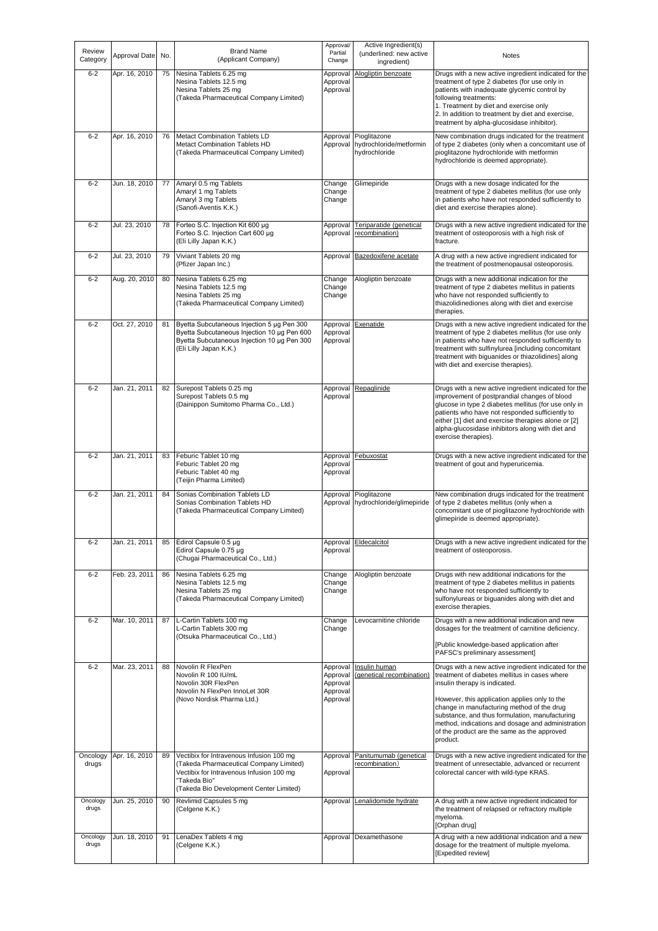| Review<br>Category | Approval Date | No. | <b>Brand Name</b><br>(Applicant Company)                                                                                                                                                   | Approval/<br>Partial<br>Change                           | Active Ingredient(s)<br>(underlined: new active<br>ingredient) | Notes                                                                                                                                                                                                                                                                                                                                                                                                   |
|--------------------|---------------|-----|--------------------------------------------------------------------------------------------------------------------------------------------------------------------------------------------|----------------------------------------------------------|----------------------------------------------------------------|---------------------------------------------------------------------------------------------------------------------------------------------------------------------------------------------------------------------------------------------------------------------------------------------------------------------------------------------------------------------------------------------------------|
| $6 - 2$            | Apr. 16, 2010 | 75  | Nesina Tablets 6.25 mg<br>Nesina Tablets 12.5 mg<br>Nesina Tablets 25 mg<br>(Takeda Pharmaceutical Company Limited)                                                                        | Approval<br>Approval<br>Approval                         | Alogliptin benzoate                                            | Drugs with a new active ingredient indicated for the<br>treatment of type 2 diabetes (for use only in<br>patients with inadequate glycemic control by<br>following treatments:<br>1. Treatment by diet and exercise only<br>2. In addition to treatment by diet and exercise,<br>treatment by alpha-glucosidase inhibitor).                                                                             |
| $6 - 2$            | Apr. 16, 2010 | 76  | <b>Metact Combination Tablets LD</b><br><b>Metact Combination Tablets HD</b><br>(Takeda Pharmaceutical Company Limited)                                                                    | Approval<br>Approval                                     | Pioglitazone<br>hydrochloride/metformin<br>hydrochloride       | New combination drugs indicated for the treatment<br>of type 2 diabetes (only when a concomitant use of<br>pioglitazone hydrochloride with metformin<br>hydrochloride is deemed appropriate).                                                                                                                                                                                                           |
| $6 - 2$            | Jun. 18, 2010 | 77  | Amaryl 0.5 mg Tablets<br>Amaryl 1 mg Tablets<br>Amaryl 3 mg Tablets<br>(Sanofi-Aventis K.K.)                                                                                               | Change<br>Change<br>Change                               | Glimepiride                                                    | Drugs with a new dosage indicated for the<br>treatment of type 2 diabetes mellitus (for use only<br>in patients who have not responded sufficiently to<br>diet and exercise therapies alone).                                                                                                                                                                                                           |
| $6 - 2$            | Jul. 23, 2010 | 78  | Forteo S.C. Injection Kit 600 µg<br>Forteo S.C. Injection Cart 600 µg<br>(Eli Lilly Japan K.K.)                                                                                            | Approval<br>Approval                                     | Teriparatide (genetical<br>recombination)                      | Drugs with a new active ingredient indicated for the<br>treatment of osteoporosis with a high risk of<br>fracture.                                                                                                                                                                                                                                                                                      |
| $6 - 2$            | Jul. 23, 2010 | 79  | Viviant Tablets 20 mg<br>(Pfizer Japan Inc.)                                                                                                                                               | Approval                                                 | Bazedoxifene acetate                                           | A drug with a new active ingredient indicated for<br>the treatment of postmenopausal osteoporosis.                                                                                                                                                                                                                                                                                                      |
| $6 - 2$            | Aug. 20, 2010 | 80  | Nesina Tablets 6.25 mg<br>Nesina Tablets 12.5 mg<br>Nesina Tablets 25 mg<br>(Takeda Pharmaceutical Company Limited)                                                                        | Change<br>Change<br>Change                               | Alogliptin benzoate                                            | Drugs with a new additional indication for the<br>treatment of type 2 diabetes mellitus in patients<br>who have not responded sufficiently to<br>thiazolidinediones along with diet and exercise<br>therapies.                                                                                                                                                                                          |
| $6 - 2$            | Oct. 27, 2010 | 81  | Byetta Subcutaneous Injection 5 µg Pen 300<br>Byetta Subcutaneous Injection 10 µg Pen 600<br>Byetta Subcutaneous Injection 10 µg Pen 300<br>(Eli Lilly Japan K.K.)                         | Approval<br>Approval<br>Approval                         | Exenatide                                                      | Drugs with a new active ingredient indicated for the<br>treatment of type 2 diabetes mellitus (for use only<br>in patients who have not responded sufficiently to<br>treatment with sulfinylurea [including concomitant<br>treatment with biguanides or thiazolidines] along<br>with diet and exercise therapies).                                                                                      |
| $6 - 2$            | Jan. 21, 2011 | 82  | Surepost Tablets 0.25 mg<br>Surepost Tablets 0.5 mg<br>(Dainippon Sumitomo Pharma Co., Ltd.)                                                                                               | Approval<br>Approval                                     | Repaglinide                                                    | Drugs with a new active ingredient indicated for the<br>improvement of postprandial changes of blood<br>glucose in type 2 diabetes mellitus (for use only in<br>patients who have not responded sufficiently to<br>either [1] diet and exercise therapies alone or [2]<br>alpha-glucosidase inhibitors along with diet and<br>exercise therapies).                                                      |
| $6 - 2$            | Jan. 21, 2011 | 83  | Feburic Tablet 10 mg<br>Feburic Tablet 20 mg<br>Feburic Tablet 40 mg<br>(Teijin Pharma Limited)                                                                                            | Approval<br>Approval<br>Approval                         | Febuxostat                                                     | Drugs with a new active ingredient indicated for the<br>treatment of gout and hyperuricemia.                                                                                                                                                                                                                                                                                                            |
| $6 - 2$            | Jan. 21, 2011 | 84  | Sonias Combination Tablets LD<br>Sonias Combination Tablets HD<br>(Takeda Pharmaceutical Company Limited)                                                                                  | Approval<br>Approval                                     | Pioglitazone<br>hydrochloride/glimepiride                      | New combination drugs indicated for the treatment<br>of type 2 diabetes mellitus (only when a<br>concomitant use of pioglitazone hydrochloride with<br>glimepiride is deemed appropriate).                                                                                                                                                                                                              |
| $6-2$              | Jan. 21, 2011 | 85  | Edirol Capsule 0.5 µg<br>Edirol Capsule 0.75 µg<br>(Chugai Pharmaceutical Co., Ltd.)                                                                                                       | Approval<br>Approval                                     | Eldecalcitol                                                   | Drugs with a new active ingredient indicated for the<br>treatment of osteoporosis.                                                                                                                                                                                                                                                                                                                      |
| $6 - 2$            | Feb. 23, 2011 | 86  | Nesina Tablets 6.25 mg<br>Nesina Tablets 12.5 mg<br>Nesina Tablets 25 mg<br>(Takeda Pharmaceutical Company Limited)                                                                        | Change<br>Change<br>Change                               | Alogliptin benzoate                                            | Drugs with new additional indications for the<br>treatment of type 2 diabetes mellitus in patients<br>who have not responded sufficiently to<br>sulfonylureas or biquanides along with diet and<br>exercise therapies.                                                                                                                                                                                  |
| $6 - 2$            | Mar. 10, 2011 | 87  | L-Cartin Tablets 100 mg<br>L-Cartin Tablets 300 mg<br>(Otsuka Pharmaceutical Co., Ltd.)                                                                                                    | Change<br>Change                                         | Levocarnitine chloride                                         | Drugs with a new additional indication and new<br>dosages for the treatment of carnitine deficiency.<br>[Public knowledge-based application after<br>PAFSC's preliminary assessment]                                                                                                                                                                                                                    |
| $6 - 2$            | Mar. 23, 2011 | 88  | Novolin R FlexPen<br>Novolin R 100 IU/mL<br>Novolin 30R FlexPen<br>Novolin N FlexPen InnoLet 30R<br>(Novo Nordisk Pharma Ltd.)                                                             | Approval<br>Approval<br>Approval<br>Approval<br>Approval | Insulin human<br>(genetical recombination)                     | Drugs with a new active ingredient indicated for the<br>treatment of diabetes mellitus in cases where<br>insulin therapy is indicated.<br>However, this application applies only to the<br>change in manufacturing method of the drug<br>substance, and thus formulation, manufacturing<br>method, indications and dosage and administration<br>of the product are the same as the approved<br>product. |
| Oncology<br>drugs  | Apr. 16, 2010 | 89  | Vectibix for Intravenous Infusion 100 mg<br>(Takeda Pharmaceutical Company Limited)<br>Vectibix for Intravenous Infusion 100 mg<br>"Takeda Bio"<br>(Takeda Bio Development Center Limited) | Approval<br>Approval                                     | Panitumumab (genetical<br>recombination)                       | Drugs with a new active ingredient indicated for the<br>treatment of unresectable, advanced or recurrent<br>colorectal cancer with wild-type KRAS.                                                                                                                                                                                                                                                      |
| Oncology<br>drugs  | Jun. 25, 2010 | 90  | Revlimid Capsules 5 mg<br>(Celgene K.K.)                                                                                                                                                   | Approval                                                 | Lenalidomide hydrate                                           | A drug with a new active ingredient indicated for<br>the treatment of relapsed or refractory multiple<br>myeloma.<br>[Orphan drug]                                                                                                                                                                                                                                                                      |
| Oncology<br>drugs  | Jun. 18, 2010 | 91  | LenaDex Tablets 4 mg<br>(Celgene K.K.)                                                                                                                                                     |                                                          | Approval Dexamethasone                                         | A drug with a new additional indication and a new<br>dosage for the treatment of multiple myeloma.<br>[Expedited review]                                                                                                                                                                                                                                                                                |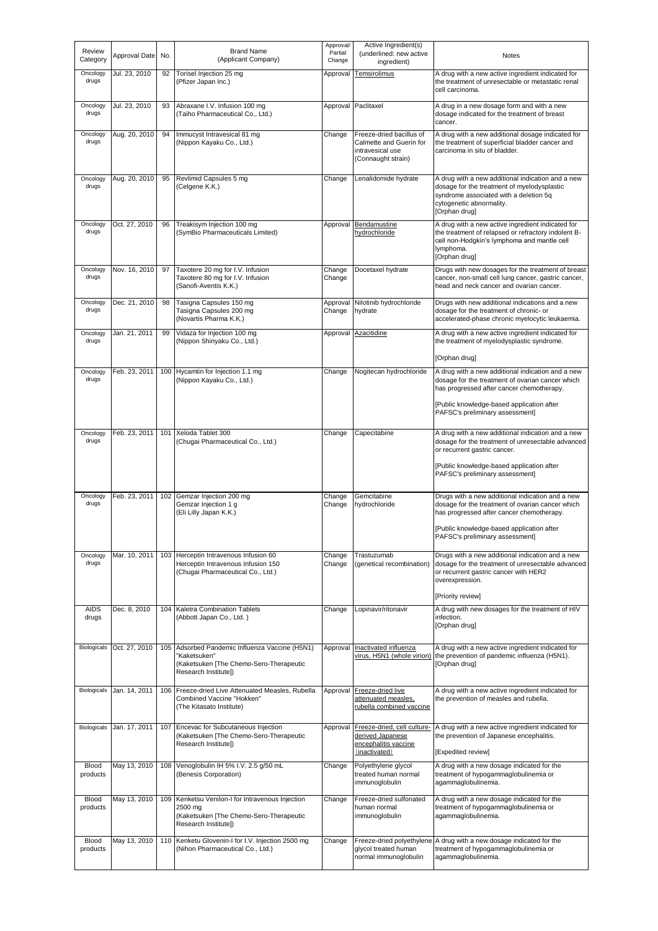| Review<br>Category | Approval Date | No. | <b>Brand Name</b><br>(Applicant Company)                                                                                          | Approval/<br>Partial<br>Change | Active Ingredient(s)<br>(underlined: new active<br>ingredient)                                | Notes                                                                                                                                                                                   |
|--------------------|---------------|-----|-----------------------------------------------------------------------------------------------------------------------------------|--------------------------------|-----------------------------------------------------------------------------------------------|-----------------------------------------------------------------------------------------------------------------------------------------------------------------------------------------|
| Oncology<br>drugs  | Jul. 23, 2010 | 92  | Torisel Injection 25 mg<br>(Pfizer Japan Inc.)                                                                                    | Approval                       | <b>Temsirolimus</b>                                                                           | A drug with a new active ingredient indicated for<br>the treatment of unresectable or metastatic renal<br>cell carcinoma.                                                               |
| Oncology<br>drugs  | Jul. 23, 2010 | 93  | Abraxane I.V. Infusion 100 mg<br>(Taiho Pharmaceutical Co., Ltd.)                                                                 |                                | Approval Paclitaxel                                                                           | A drug in a new dosage form and with a new<br>dosage indicated for the treatment of breast<br>cancer.                                                                                   |
| Oncology<br>drugs  | Aug. 20, 2010 | 94  | Immucyst Intravesical 81 mg<br>(Nippon Kayaku Co., Ltd.)                                                                          | Change                         | Freeze-dried bacillus of<br>Calmette and Guerin for<br>intravesical use<br>(Connaught strain) | A drug with a new additional dosage indicated for<br>the treatment of superficial bladder cancer and<br>carcinoma in situ of bladder.                                                   |
| Oncology<br>drugs  | Aug. 20, 2010 | 95  | Revlimid Capsules 5 mg<br>(Celgene K.K.)                                                                                          | Change                         | Lenalidomide hydrate                                                                          | A drug with a new additional indication and a new<br>dosage for the treatment of myelodysplastic<br>syndrome associated with a deletion 5q<br>cytogenetic abnormality.<br>[Orphan drug] |
| Oncology<br>drugs  | Oct. 27, 2010 | 96  | Treakisym Injection 100 mg<br>(SymBio Pharmaceuticals Limited)                                                                    | Approval                       | Bendamustine<br>hydrochloride                                                                 | A drug with a new active ingredient indicated for<br>the treatment of relapsed or refractory indolent B-<br>cell non-Hodgkin's lymphoma and mantle cell<br>lymphoma.<br>[Orphan drug]   |
| Oncology<br>drugs  | Nov. 16, 2010 | 97  | Taxotere 20 mg for I.V. Infusion<br>Taxotere 80 mg for I.V. Infusion<br>(Sanofi-Aventis K.K.)                                     | Change<br>Change               | Docetaxel hydrate                                                                             | Drugs with new dosages for the treatment of breast<br>cancer, non-small cell lung cancer, gastric cancer,<br>head and neck cancer and ovarian cancer.                                   |
| Oncology<br>drugs  | Dec. 21, 2010 | 98  | Tasigna Capsules 150 mg<br>Tasigna Capsules 200 mg<br>(Novartis Pharma K.K.)                                                      | Approval<br>Change             | Nilotinib hydrochloride<br>hydrate                                                            | Drugs with new additional indications and a new<br>dosage for the treatment of chronic- or<br>accelerated-phase chronic myelocytic leukaemia.                                           |
| Oncology<br>drugs  | Jan. 21, 2011 | 99  | Vidaza for Injection 100 mg<br>(Nippon Shinyaku Co., Ltd.)                                                                        |                                | Approval Azacitidine                                                                          | A drug with a new active ingredient indicated for<br>the treatment of myelodysplastic syndrome.                                                                                         |
| Oncology           | Feb. 23, 2011 |     | 100 Hycamtin for Injection 1.1 mg                                                                                                 | Change                         | Nogitecan hydrochloride                                                                       | [Orphan drug]<br>A drug with a new additional indication and a new                                                                                                                      |
| drugs              |               |     | (Nippon Kayaku Co., Ltd.)                                                                                                         |                                |                                                                                               | dosage for the treatment of ovarian cancer which<br>has progressed after cancer chemotherapy.                                                                                           |
|                    |               |     |                                                                                                                                   |                                |                                                                                               | [Public knowledge-based application after<br>PAFSC's preliminary assessment]                                                                                                            |
| Oncology<br>drugs  | Feb. 23, 2011 | 101 | Xeloda Tablet 300<br>(Chugai Pharmaceutical Co., Ltd.)                                                                            | Change                         | Capecitabine                                                                                  | A drug with a new additional indication and a new<br>dosage for the treatment of unresectable advanced<br>or recurrent gastric cancer.                                                  |
|                    |               |     |                                                                                                                                   |                                |                                                                                               | [Public knowledge-based application after<br>PAFSC's preliminary assessment]                                                                                                            |
| Oncology<br>drugs  | Feb. 23, 2011 | 102 | Gemzar Injection 200 mg<br>Gemzar Injection 1 g<br>(Eli Lilly Japan K.K.)                                                         | Change<br>Change               | Gemcitabine<br>hydrochloride                                                                  | Drugs with a new additional indication and a new<br>dosage for the treatment of ovarian cancer which<br>has progressed after cancer chemotherapy.                                       |
|                    |               |     |                                                                                                                                   |                                |                                                                                               | [Public knowledge-based application after<br>PAFSC's preliminary assessment]                                                                                                            |
| Oncology<br>drugs  | Mar. 10, 2011 |     | 103 Herceptin Intravenous Infusion 60<br>Herceptin Intravenous Infusion 150<br>(Chugai Pharmaceutical Co., Ltd.)                  | Change<br>Change               | Trastuzumab<br>(genetical recombination)                                                      | Drugs with a new additional indication and a new<br>dosage for the treatment of unresectable advanced<br>or recurrent gastric cancer with HER2<br>overexpression.                       |
| <b>AIDS</b>        | Dec. 8, 2010  |     | 104 Kaletra Combination Tablets                                                                                                   | Change                         | Lopinavir/ritonavir                                                                           | [Priority review]<br>A drug with new dosages for the treatment of HIV                                                                                                                   |
| drugs              |               |     | (Abbott Japan Co., Ltd.)                                                                                                          |                                |                                                                                               | infection.<br>[Orphan drug]                                                                                                                                                             |
| Biologicals        | Oct. 27, 2010 |     | 105 Adsorbed Pandemic Influenza Vaccine (H5N1)<br>'Kaketsuken"<br>(Kaketsuken [The Chemo-Sero-Therapeutic<br>Research Institute]) | Approval                       | Inactivated influenza<br>virus. H5N1 (whole virion)                                           | A drug with a new active ingredient indicated for<br>the prevention of pandemic influenza (H5N1).<br>[Orphan drug]                                                                      |
| Biologicals        | Jan. 14, 2011 | 106 | Freeze-dried Live Attenuated Measles, Rubella<br>Combined Vaccine "Hokken"<br>(The Kitasato Institute)                            | Approval                       | Freeze-dried live<br>attenuated measles,<br>rubella combined vaccine                          | A drug with a new active ingredient indicated for<br>the prevention of measles and rubella.                                                                                             |
| Biologicals        | Jan. 17, 2011 |     | 107 Encevac for Subcutaneous Injection<br>(Kaketsuken [The Chemo-Sero-Therapeutic<br>Research Institute])                         | Approval                       | Freeze-dried, cell culture-<br>derived Japanese<br>encephalitis vaccine<br>(inactivated)      | A drug with a new active ingredient indicated for<br>the prevention of Japanese encephalitis.<br>[Expedited review]                                                                     |
| Blood<br>products  | May 13, 2010  | 108 | Venoglobulin IH 5% I.V. 2.5 g/50 mL<br>(Benesis Corporation)                                                                      | Change                         | Polyethylene glycol<br>treated human normal<br>immunoglobulin                                 | A drug with a new dosage indicated for the<br>treatment of hypogammaglobulinemia or<br>agammaglobulinemia.                                                                              |
| Blood<br>products  | May 13, 2010  |     | 109 Kenketsu Venilon-I for Intravenous Injection<br>2500 mg<br>(Kaketsuken [The Chemo-Sero-Therapeutic<br>Research Institute])    | Change                         | Freeze-dried sulfonated<br>human normal<br>immunoglobulin                                     | A drug with a new dosage indicated for the<br>treatment of hypogammaglobulinemia or<br>agammaglobulinemia.                                                                              |
| Blood<br>products  | May 13, 2010  | 110 | Kenketu Glovenin-I for I.V. Injection 2500 mg<br>(Nihon Pharmaceutical Co., Ltd.)                                                 | Change                         | glycol treated human<br>normal immunoglobulin                                                 | Freeze-dried polyethylene A drug with a new dosage indicated for the<br>treatment of hypogammaglobulinemia or<br>agammaglobulinemia.                                                    |